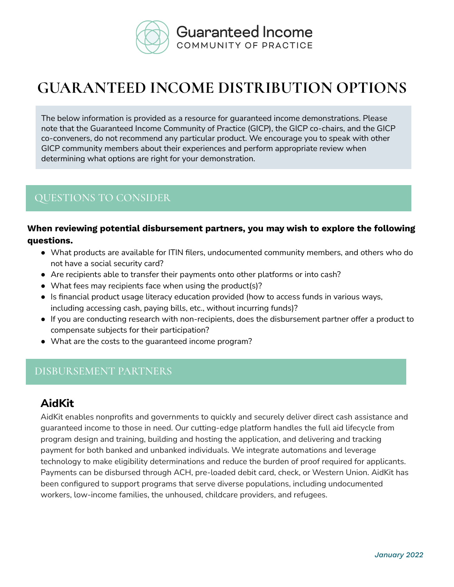

# **GUARANTEED INCOME DISTRIBUTION OPTIONS**

The below information is provided as a resource for guaranteed income demonstrations. Please note that the Guaranteed Income Community of Practice (GICP), the GICP co-chairs, and the GICP co-conveners, do not recommend any particular product. We encourage you to speak with other GICP community members about their experiences and perform appropriate review when determining what options are right for your demonstration.

### QUESTIONS TO CONSIDER

#### **When reviewing potential disbursement partners, you may wish to explore the following questions.**

- What products are available for ITIN filers, undocumented community members, and others who do not have a social security card?
- Are recipients able to transfer their payments onto other platforms or into cash?
- What fees may recipients face when using the product(s)?
- Is financial product usage literacy education provided (how to access funds in various ways, including accessing cash, paying bills, etc., without incurring funds)?
- If you are conducting research with non-recipients, does the disbursement partner offer a product to compensate subjects for their participation?
- What are the costs to the guaranteed income program?

#### DISBURSEMENT PARTNERS

#### **AidKit**

AidKit enables nonprofits and governments to quickly and securely deliver direct cash assistance and guaranteed income to those in need. Our cutting-edge platform handles the full aid lifecycle from program design and training, building and hosting the application, and delivering and tracking payment for both banked and unbanked individuals. We integrate automations and leverage technology to make eligibility determinations and reduce the burden of proof required for applicants. Payments can be disbursed through ACH, pre-loaded debit card, check, or Western Union. AidKit has been configured to support programs that serve diverse populations, including undocumented workers, low-income families, the unhoused, childcare providers, and refugees.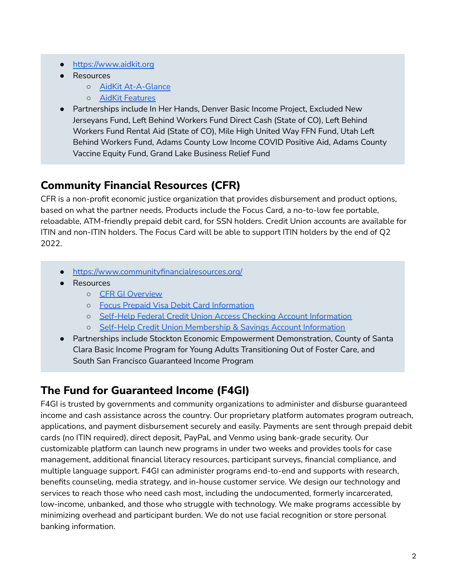- <https://www.aidkit.org>
- Resources
	- AidKit [At-A-Glance](https://drive.google.com/file/d/1XmNBnoo-5hfYzkRiGn7zdi7q79QjgWtD/view?usp=sharing)
	- AidKit [Features](https://drive.google.com/file/d/1hksH4Co8XDrUwd2OlTDGWRrDsBs90S1B/view?usp=sharing)
- Partnerships include In Her Hands, Denver Basic Income Project, Excluded New Jerseyans Fund, Left Behind Workers Fund Direct Cash (State of CO), Left Behind Workers Fund Rental Aid (State of CO), Mile High United Way FFN Fund, Utah Left Behind Workers Fund, Adams County Low Income COVID Positive Aid, Adams County Vaccine Equity Fund, Grand Lake Business Relief Fund

# **Community Financial Resources (CFR)**

CFR is a non-profit economic justice organization that provides disbursement and product options, based on what the partner needs. Products include the Focus Card, a no-to-low fee portable, reloadable, ATM-friendly prepaid debit card, for SSN holders. Credit Union accounts are available for ITIN and non-ITIN holders. The Focus Card will be able to support ITIN holders by the end of Q2 2022.

- <https://www.communityfinancialresources.org/>
- **Resources** 
	- CFR GI [Overview](https://drive.google.com/file/d/1SFVgErLxN6yIUdxaCpa7QdOhHJpm_5e3/view?usp=sharing)
	- Focus Prepaid Visa Debit Card [Information](https://drive.google.com/file/d/1RBwpfTzv5vll_4vdl4PbpWH7oKH2rrzr/view?usp=sharing)
	- Self-Help Federal Credit Union Access Checking Account [Information](https://drive.google.com/file/d/1u7qrV5NyLY2npEHqI0k6xfqBDEGv3EnU/view?usp=sharing)
	- Self-Help Credit Union [Membership](https://drive.google.com/file/d/1EP38NSXtmLh8V2AzITzw8L-hIZFlzuI-/view?usp=sharing) & Savings Account Information
- Partnerships include Stockton Economic Empowerment Demonstration, County of Santa Clara Basic Income Program for Young Adults Transitioning Out of Foster Care, and South San Francisco Guaranteed Income Program

# **The Fund for Guaranteed Income (F4GI)**

F4GI is trusted by governments and community organizations to administer and disburse guaranteed income and cash assistance across the country. Our proprietary platform automates program outreach, applications, and payment disbursement securely and easily. Payments are sent through prepaid debit cards (no ITIN required), direct deposit, PayPal, and Venmo using bank-grade security. Our customizable platform can launch new programs in under two weeks and provides tools for case management, additional financial literacy resources, participant surveys, financial compliance, and multiple language support. F4GI can administer programs end-to-end and supports with research, benefits counseling, media strategy, and in-house customer service. We design our technology and services to reach those who need cash most, including the undocumented, formerly incarcerated, low-income, unbanked, and those who struggle with technology. We make programs accessible by minimizing overhead and participant burden. We do not use facial recognition or store personal banking information.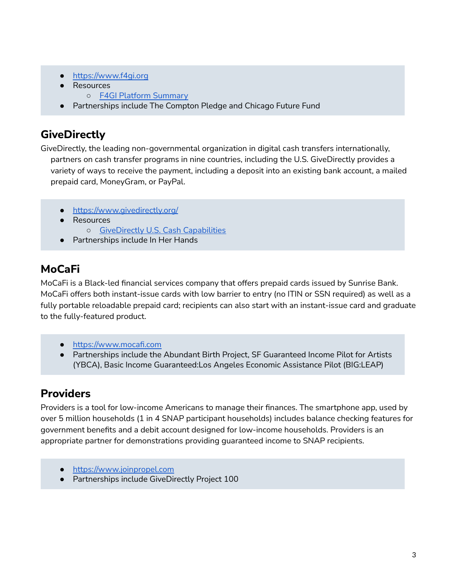- <https://www.f4gi.org>
- Resources
	- F4GI Platform [Summary](https://drive.google.com/file/d/1klNaMeMpHsEGOubHwFwVO_XkEih9EtUq/view?usp=sharing)
- Partnerships include The Compton Pledge and Chicago Future Fund

### **GiveDirectly**

GiveDirectly, the leading non-governmental organization in digital cash transfers internationally, partners on cash transfer programs in nine countries, including the U.S. GiveDirectly provides a variety of ways to receive the payment, including a deposit into an existing bank account, a mailed prepaid card, MoneyGram, or PayPal.

- <https://www.givedirectly.org/>
- Resources
	- [GiveDirectly](https://drive.google.com/file/d/17Xf9wOga7dofI6Xkwf3kgK5f2DL5kiCk/view?usp=sharing) U.S. Cash Capabilities
- Partnerships include In Her Hands

# **MoCaFi**

MoCaFi is a Black-led financial services company that offers prepaid cards issued by Sunrise Bank. MoCaFi offers both instant-issue cards with low barrier to entry (no ITIN or SSN required) as well as a fully portable reloadable prepaid card; recipients can also start with an instant-issue card and graduate to the fully-featured product.

- [https://www.mocafi.com](https://www.communityfinancialresources.org/)
- Partnerships include the Abundant Birth Project, SF Guaranteed Income Pilot for Artists (YBCA), Basic Income Guaranteed:Los Angeles Economic Assistance Pilot (BIG:LEAP)

# **Providers**

Providers is a tool for low-income Americans to manage their finances. The smartphone app, used by over 5 million households (1 in 4 SNAP participant households) includes balance checking features for government benefits and a debit account designed for low-income households. Providers is an appropriate partner for demonstrations providing guaranteed income to SNAP recipients.

- <https://www.joinpropel.com>
- Partnerships include GiveDirectly Project 100